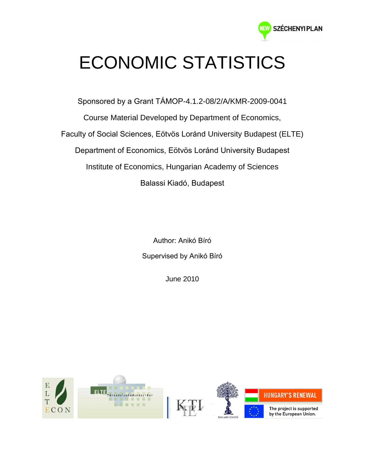

## ECONOMIC STATISTICS

Sponsored by a Grant TÁMOP-4.1.2-08/2/A/KMR-2009-0041 Course Material Developed by Department of Economics, Faculty of Social Sciences, Eötvös Loránd University Budapest (ELTE) Department of Economics, Eötvös Loránd University Budapest Institute of Economics, Hungarian Academy of Sciences Balassi Kiadó, Budapest

> Author: Anikó Bíró Supervised by Anikó Bíró

> > June 2010

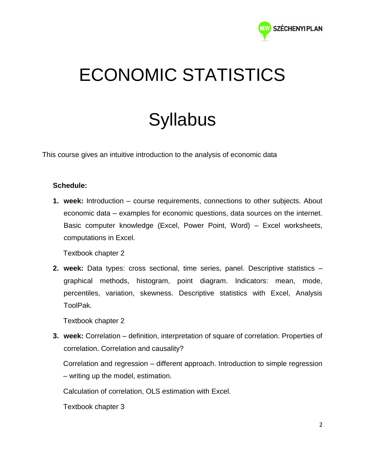

## ECONOMIC STATISTICS

## **Syllabus**

This course gives an intuitive introduction to the analysis of economic data

## **Schedule:**

**1. week:** Introduction – course requirements, connections to other subjects. About economic data – examples for economic questions, data sources on the internet. Basic computer knowledge (Excel, Power Point, Word) – Excel worksheets, computations in Excel.

Textbook chapter 2

**2. week:** Data types: cross sectional, time series, panel. Descriptive statistics – graphical methods, histogram, point diagram. Indicators: mean, mode, percentiles, variation, skewness. Descriptive statistics with Excel, Analysis ToolPak.

Textbook chapter 2

**3. week:** Correlation – definition, interpretation of square of correlation. Properties of correlation. Correlation and causality?

Correlation and regression – different approach. Introduction to simple regression – writing up the model, estimation.

Calculation of correlation, OLS estimation with Excel.

Textbook chapter 3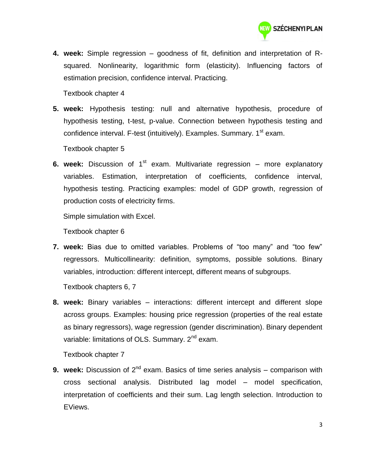

**4. week:** Simple regression – goodness of fit, definition and interpretation of Rsquared. Nonlinearity, logarithmic form (elasticity). Influencing factors of estimation precision, confidence interval. Practicing.

Textbook chapter 4

**5. week:** Hypothesis testing: null and alternative hypothesis, procedure of hypothesis testing, t-test, p-value. Connection between hypothesis testing and confidence interval. F-test (intuitively). Examples. Summary. 1<sup>st</sup> exam.

Textbook chapter 5

**6. week:** Discussion of 1<sup>st</sup> exam. Multivariate regression – more explanatory variables. Estimation, interpretation of coefficients, confidence interval, hypothesis testing. Practicing examples: model of GDP growth, regression of production costs of electricity firms.

Simple simulation with Excel.

Textbook chapter 6

**7. week:** Bias due to omitted variables. Problems of "too many" and "too few" regressors. Multicollinearity: definition, symptoms, possible solutions. Binary variables, introduction: different intercept, different means of subgroups.

Textbook chapters 6, 7

**8. week:** Binary variables – interactions: different intercept and different slope across groups. Examples: housing price regression (properties of the real estate as binary regressors), wage regression (gender discrimination). Binary dependent variable: limitations of OLS. Summary. 2<sup>nd</sup> exam.

Textbook chapter 7

**9. week:** Discussion of 2<sup>nd</sup> exam. Basics of time series analysis – comparison with cross sectional analysis. Distributed lag model – model specification, interpretation of coefficients and their sum. Lag length selection. Introduction to EViews.